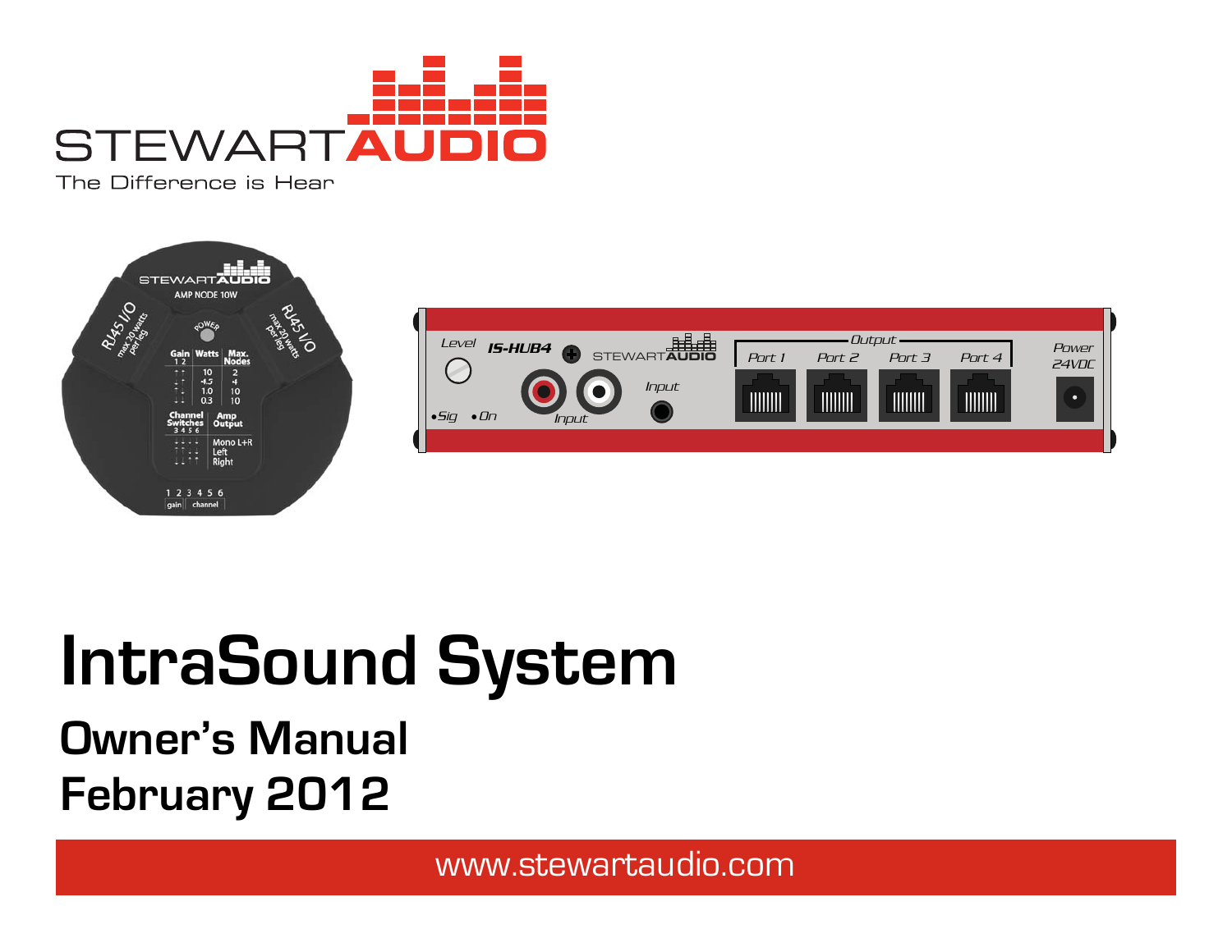

The Difference is Hear





# **IntraSound System**

## **Owner's Manual February 2012**

www.stewartaudio.com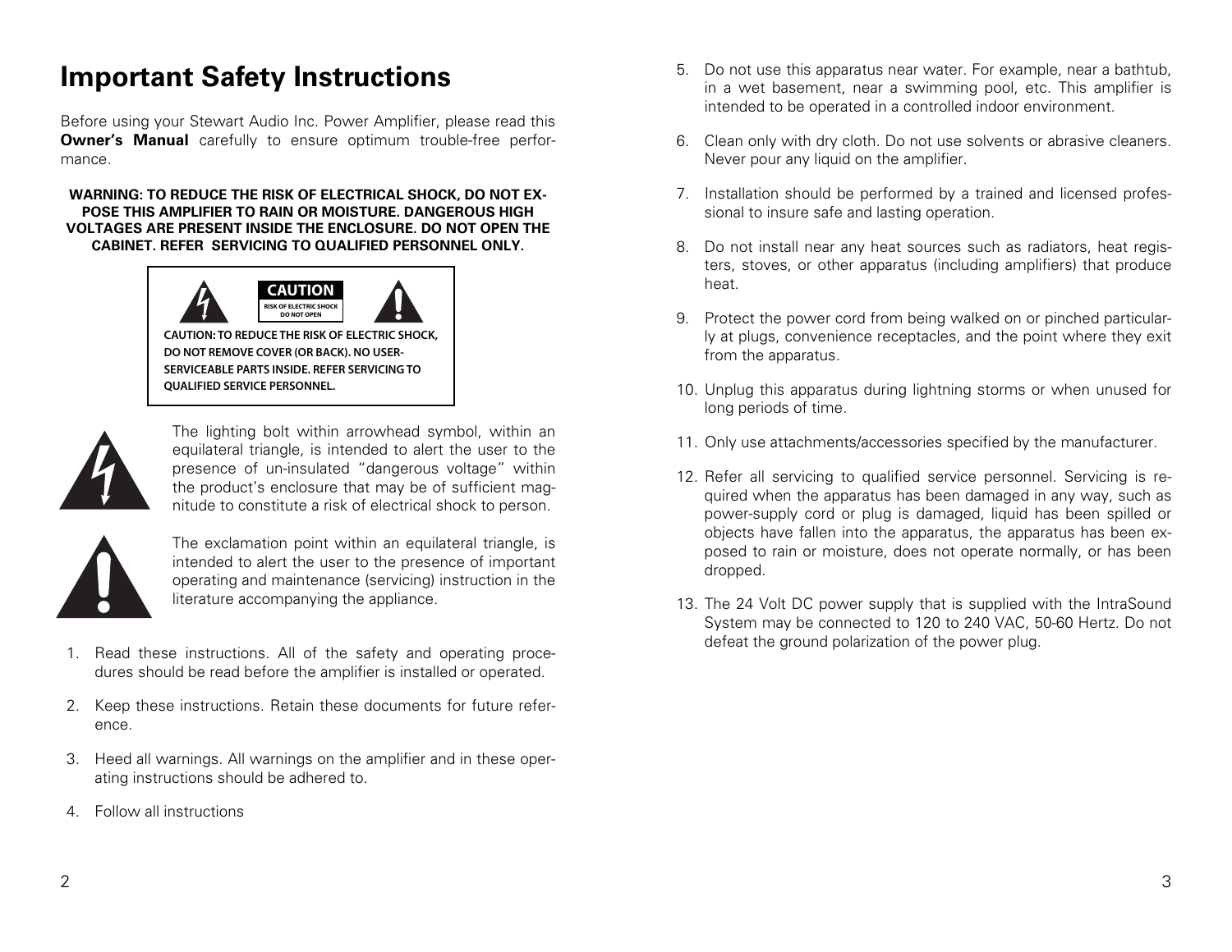## **Important Safety Instructions**

Before using your Stewart Audio Inc. Power Amplifier, please read this **Owner's Manual** carefully to ensure optimum trouble-free performance.

#### **WARNING: TO REDUCE THE RISK OF ELECTRICAL SHOCK, DO NOT EX-POSE THIS AMPLIFIER TO RAIN OR MOISTURE. DANGEROUS HIGH VOLTAGES ARE PRESENT INSIDE THE ENCLOSURE. DO NOT OPEN THE CABINET. REFER SERVICING TO QUALIFIED PERSONNEL ONLY.**



**CAUTION: TO REDUCE THE RISK OF ELECTRIC SHOCK, DO NOT REMOVE COVER (OR BACK). NO USER-SERVICEABLE PARTS INSIDE. REFER SERVICING TO QUALIFIED SERVICE PERSONNEL.**



The lighting bolt within arrowhead symbol, within an equilateral triangle, is intended to alert the user to the presence of un-insulated "dangerous voltage" within the product's enclosure that may be of sufficient magnitude to constitute a risk of electrical shock to person.



The exclamation point within an equilateral triangle, is intended to alert the user to the presence of important operating and maintenance (servicing) instruction in the literature accompanying the appliance.

- 1. Read these instructions. All of the safety and operating procedures should be read before the amplifier is installed or operated.
- 2. Keep these instructions. Retain these documents for future reference.
- 3. Heed all warnings. All warnings on the amplifier and in these operating instructions should be adhered to.
- 4. Follow all instructions
- 5. Do not use this apparatus near water. For example, near a bathtub, in a wet basement, near a swimming pool, etc. This amplifier is intended to be operated in a controlled indoor environment.
- 6. Clean only with dry cloth. Do not use solvents or abrasive cleaners. Never pour any liquid on the amplifier.
- 7. Installation should be performed by a trained and licensed professional to insure safe and lasting operation.
- 8. Do not install near any heat sources such as radiators, heat registers, stoves, or other apparatus (including amplifiers) that produce heat.
- 9. Protect the power cord from being walked on or pinched particularly at plugs, convenience receptacles, and the point where they exit from the apparatus.
- 10. Unplug this apparatus during lightning storms or when unused for long periods of time.
- 11. Only use attachments/accessories specified by the manufacturer.
- 12. Refer all servicing to qualified service personnel. Servicing is required when the apparatus has been damaged in any way, such as power-supply cord or plug is damaged, liquid has been spilled or objects have fallen into the apparatus, the apparatus has been exposed to rain or moisture, does not operate normally, or has been dropped.
- 13. The 24 Volt DC power supply that is supplied with the IntraSound System may be connected to 120 to 240 VAC, 50-60 Hertz. Do not defeat the ground polarization of the power plug.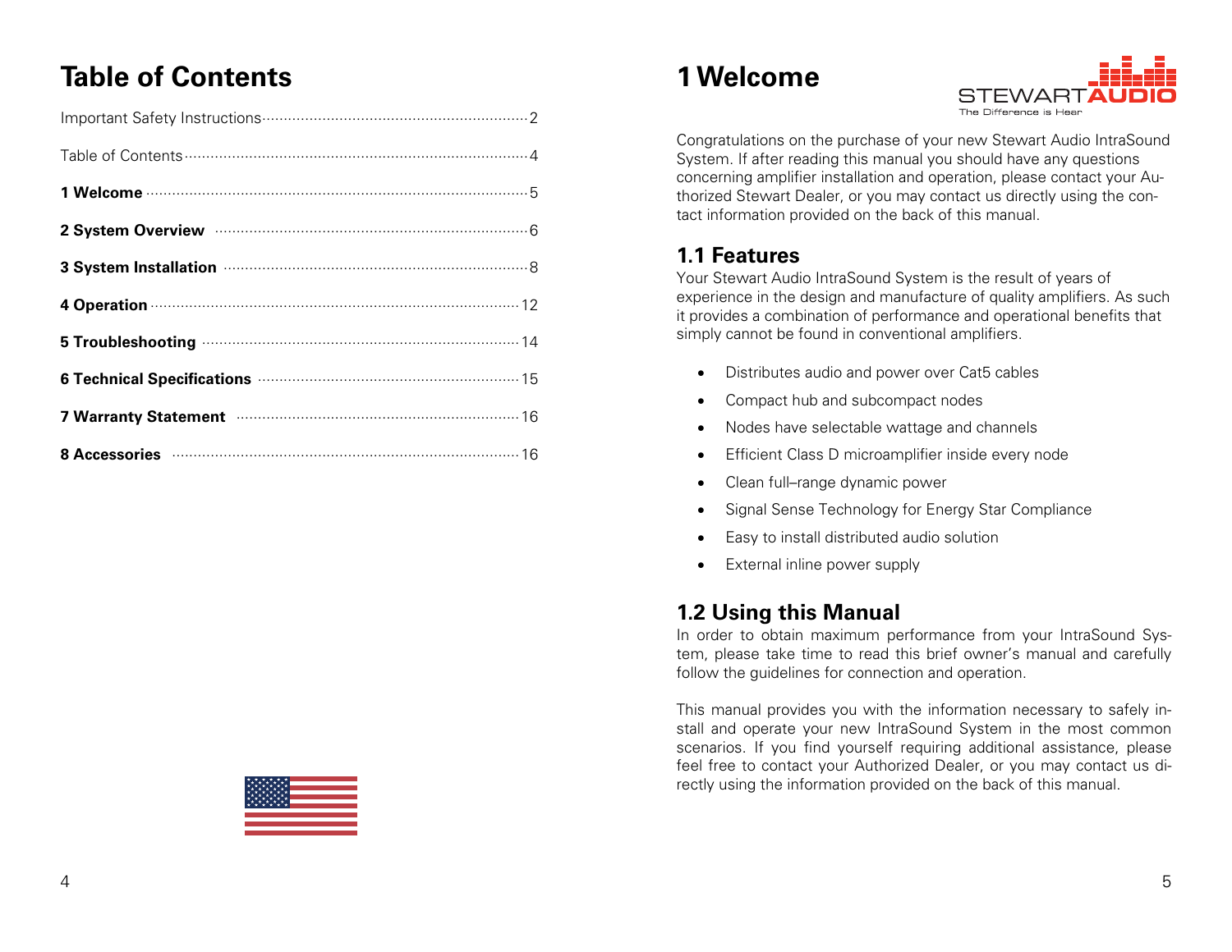## **Table of Contents**

| 2 System Overview manufactured and System Overview manufactured and S                                                                                                                                                          |
|--------------------------------------------------------------------------------------------------------------------------------------------------------------------------------------------------------------------------------|
| 3 System Installation manufactured and 8                                                                                                                                                                                       |
| 4 Operation 222 224 224 234 24 25 26 27 28 28:30 29:31 29:32 29:33 29:34 29:35 29:35 29:35 29:35 29:35 29:35 29:35 29:35 29:35 29:35 29:35 29:35 29:35 29:35 29:35 29:35 29:35 29:35 29:35 29:35 29:35 29:35 29:35 29:35 29:35 |
|                                                                                                                                                                                                                                |
| 6 Technical Specifications <b>Manufacture 15</b>                                                                                                                                                                               |
| 7 Warranty Statement manufactured and 16                                                                                                                                                                                       |
| 8 Accessories <b>Material Contract Contract 2</b> 16                                                                                                                                                                           |

## **1 Welcome**



Congratulations on the purchase of your new Stewart Audio IntraSound System. If after reading this manual you should have any questions concerning amplifier installation and operation, please contact your Authorized Stewart Dealer, or you may contact us directly using the contact information provided on the back of this manual.

## **1.1 Features**

Your Stewart Audio IntraSound System is the result of years of experience in the design and manufacture of quality amplifiers. As such it provides a combination of performance and operational benefits that simply cannot be found in conventional amplifiers.

- Distributes audio and power over Cat5 cables
- Compact hub and subcompact nodes
- Nodes have selectable wattage and channels
- **•** Efficient Class D microamplifier inside every node
- Clean full–range dynamic power
- Signal Sense Technology for Energy Star Compliance
- Easy to install distributed audio solution
- External inline power supply

## **1.2 Using this Manual**

In order to obtain maximum performance from your IntraSound System, please take time to read this brief owner's manual and carefully follow the guidelines for connection and operation.

This manual provides you with the information necessary to safely install and operate your new IntraSound System in the most common scenarios. If you find yourself requiring additional assistance, please feel free to contact your Authorized Dealer, or you may contact us directly using the information provided on the back of this manual.

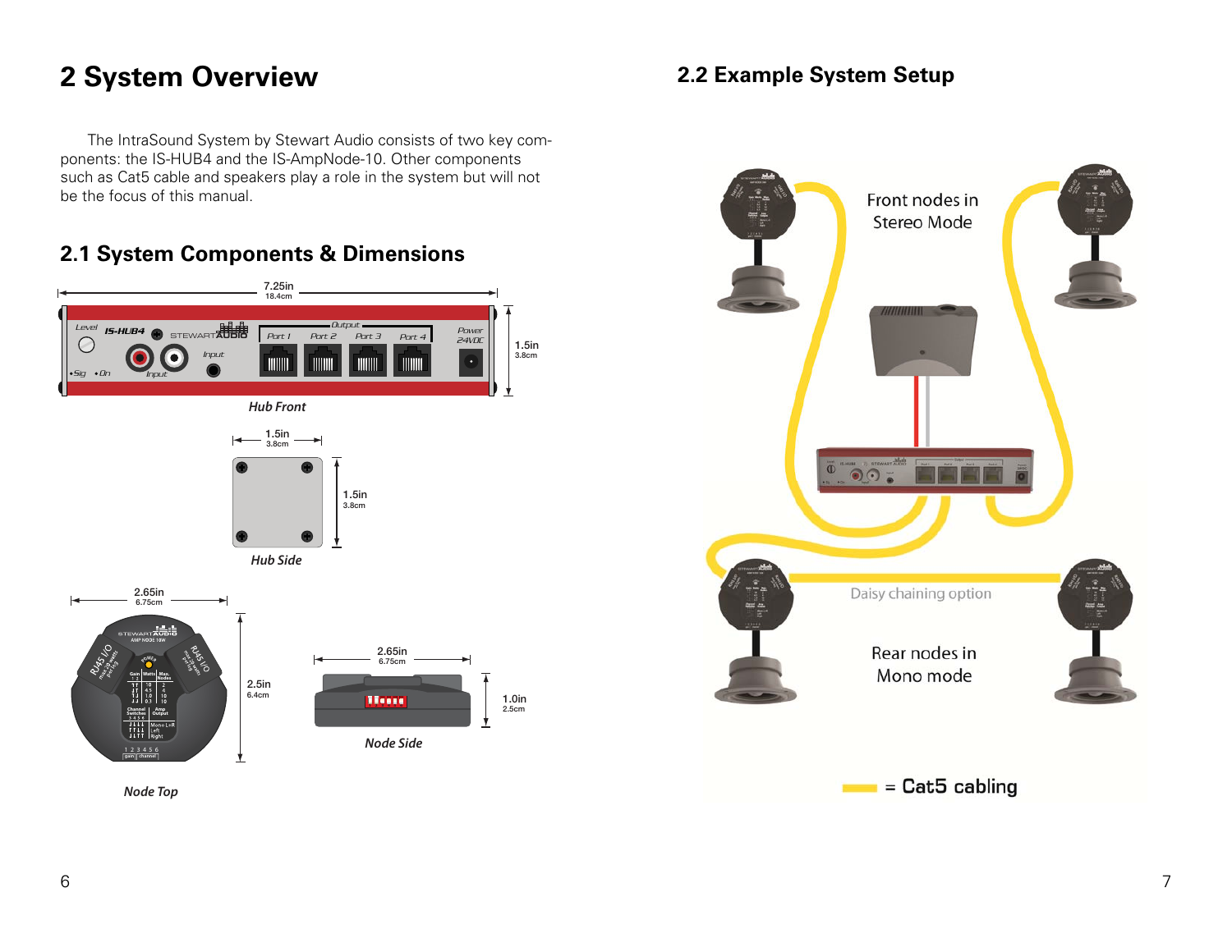## **2 System Overview**

The IntraSound System by Stewart Audio consists of two key components: the IS-HUB4 and the IS-AmpNode-10. Other components such as Cat5 cable and speakers play a role in the system but will not be the focus of this manual.

## **2.1 System Components & Dimensions**





## **2.2 Example System Setup**

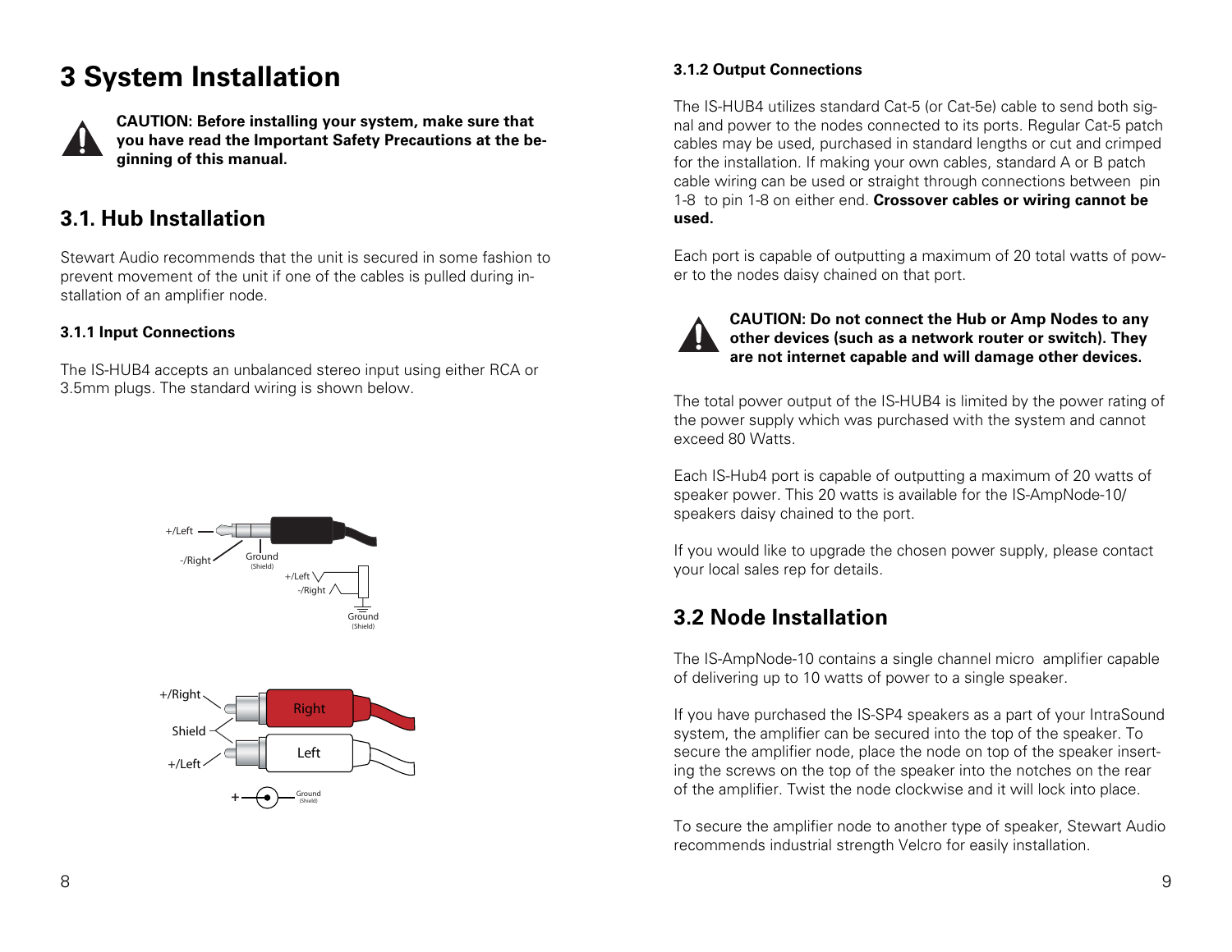## **3 System Installation**



**CAUTION: Before installing your system, make sure that you have read the Important Safety Precautions at the beginning of this manual.** 

## **3.1. Hub Installation**

Stewart Audio recommends that the unit is secured in some fashion to prevent movement of the unit if one of the cables is pulled during installation of an amplifier node.

#### **3.1.1 Input Connections**

The IS-HUB4 accepts an unbalanced stereo input using either RCA or 3.5mm plugs. The standard wiring is shown below.



#### **3.1.2 Output Connections**

The IS-HUB4 utilizes standard Cat-5 (or Cat-5e) cable to send both signal and power to the nodes connected to its ports. Regular Cat-5 patch cables may be used, purchased in standard lengths or cut and crimped for the installation. If making your own cables, standard A or B patch cable wiring can be used or straight through connections between pin 1-8 to pin 1-8 on either end. **Crossover cables or wiring cannot be used.** 

Each port is capable of outputting a maximum of 20 total watts of power to the nodes daisy chained on that port.



**CAUTION: Do not connect the Hub or Amp Nodes to any other devices (such as a network router or switch). They are not internet capable and will damage other devices.** 

The total power output of the IS-HUB4 is limited by the power rating of the power supply which was purchased with the system and cannot exceed 80 Watts.

Each IS-Hub4 port is capable of outputting a maximum of 20 watts of speaker power. This 20 watts is available for the IS-AmpNode-10/ speakers daisy chained to the port.

If you would like to upgrade the chosen power supply, please contact your local sales rep for details.

## **3.2 Node Installation**

The IS-AmpNode-10 contains a single channel micro amplifier capable of delivering up to 10 watts of power to a single speaker.

If you have purchased the IS-SP4 speakers as a part of your IntraSound system, the amplifier can be secured into the top of the speaker. To secure the amplifier node, place the node on top of the speaker inserting the screws on the top of the speaker into the notches on the rear of the amplifier. Twist the node clockwise and it will lock into place.

To secure the amplifier node to another type of speaker, Stewart Audio recommends industrial strength Velcro for easily installation.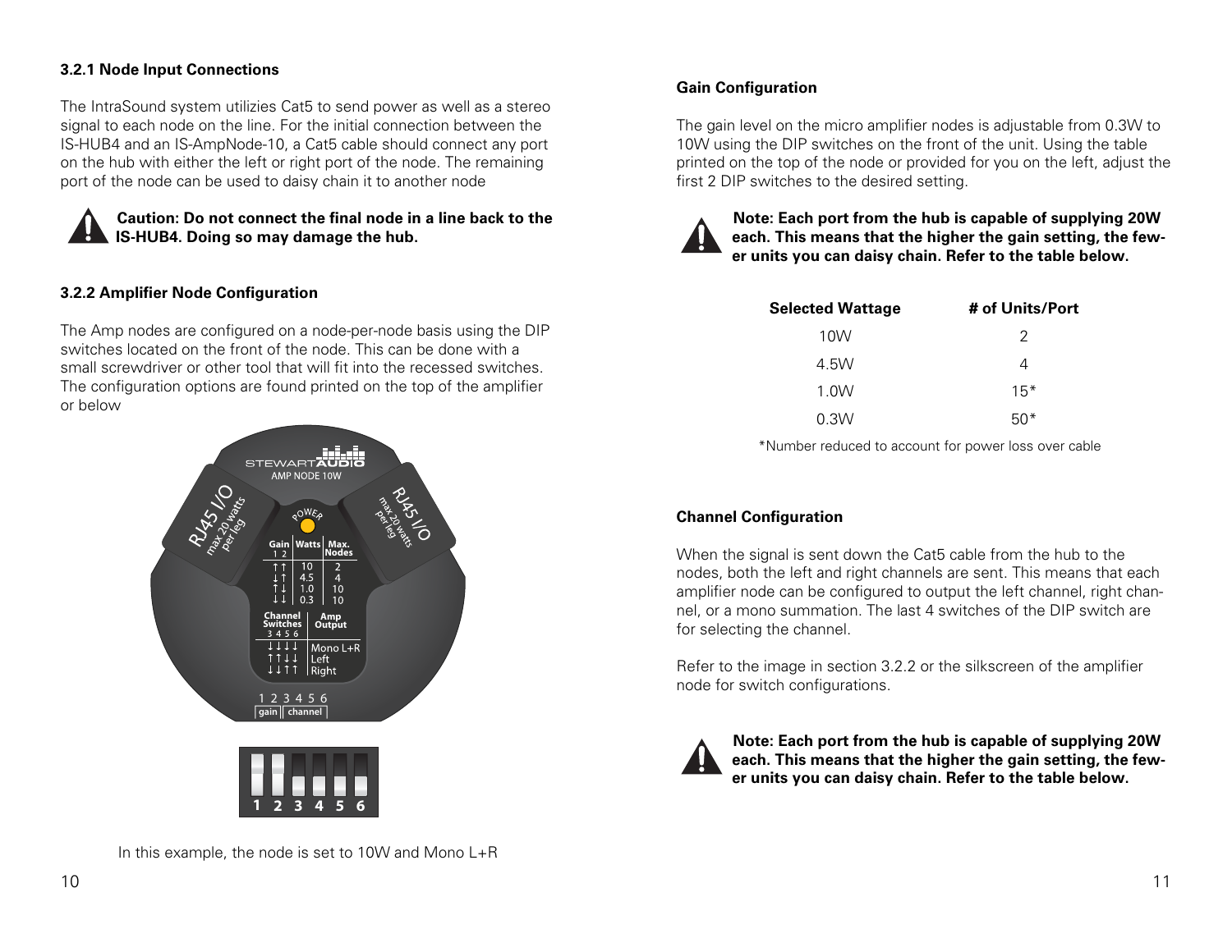#### **3.2.1 Node Input Connections**

The IntraSound system utilizies Cat5 to send power as well as a stereo signal to each node on the line. For the initial connection between the IS-HUB4 and an IS-AmpNode-10, a Cat5 cable should connect any port on the hub with either the left or right port of the node. The remaining port of the node can be used to daisy chain it to another node



**Caution: Do not connect the final node in a line back to the IS-HUB4. Doing so may damage the hub.** 

#### **3.2.2 Amplifier Node Configuration**

The Amp nodes are configured on a node-per-node basis using the DIP switches located on the front of the node. This can be done with a small screwdriver or other tool that will fit into the recessed switches. The configuration options are found printed on the top of the amplifier or below



In this example, the node is set to 10W and Mono  $L+R$ 

#### **Gain Configuration**

The gain level on the micro amplifier nodes is adjustable from 0.3W to 10W using the DIP switches on the front of the unit. Using the table printed on the top of the node or provided for you on the left, adjust the first 2 DIP switches to the desired setting.



**Note: Each port from the hub is capable of supplying 20W each. This means that the higher the gain setting, the fewer units you can daisy chain. Refer to the table below.** 

| <b>Selected Wattage</b> | # of Units/Port |
|-------------------------|-----------------|
| 10W                     | 2               |
| 4.5W                    | 4               |
| 1.0W                    | $15*$           |
| 0.3W                    | $50*$           |

\*Number reduced to account for power loss over cable

#### **Channel Configuration**

When the signal is sent down the Cat5 cable from the hub to the nodes, both the left and right channels are sent. This means that each amplifier node can be configured to output the left channel, right channel, or a mono summation. The last 4 switches of the DIP switch are for selecting the channel.

Refer to the image in section 3.2.2 or the silkscreen of the amplifier node for switch configurations.



**Note: Each port from the hub is capable of supplying 20W each. This means that the higher the gain setting, the fewer units you can daisy chain. Refer to the table below.**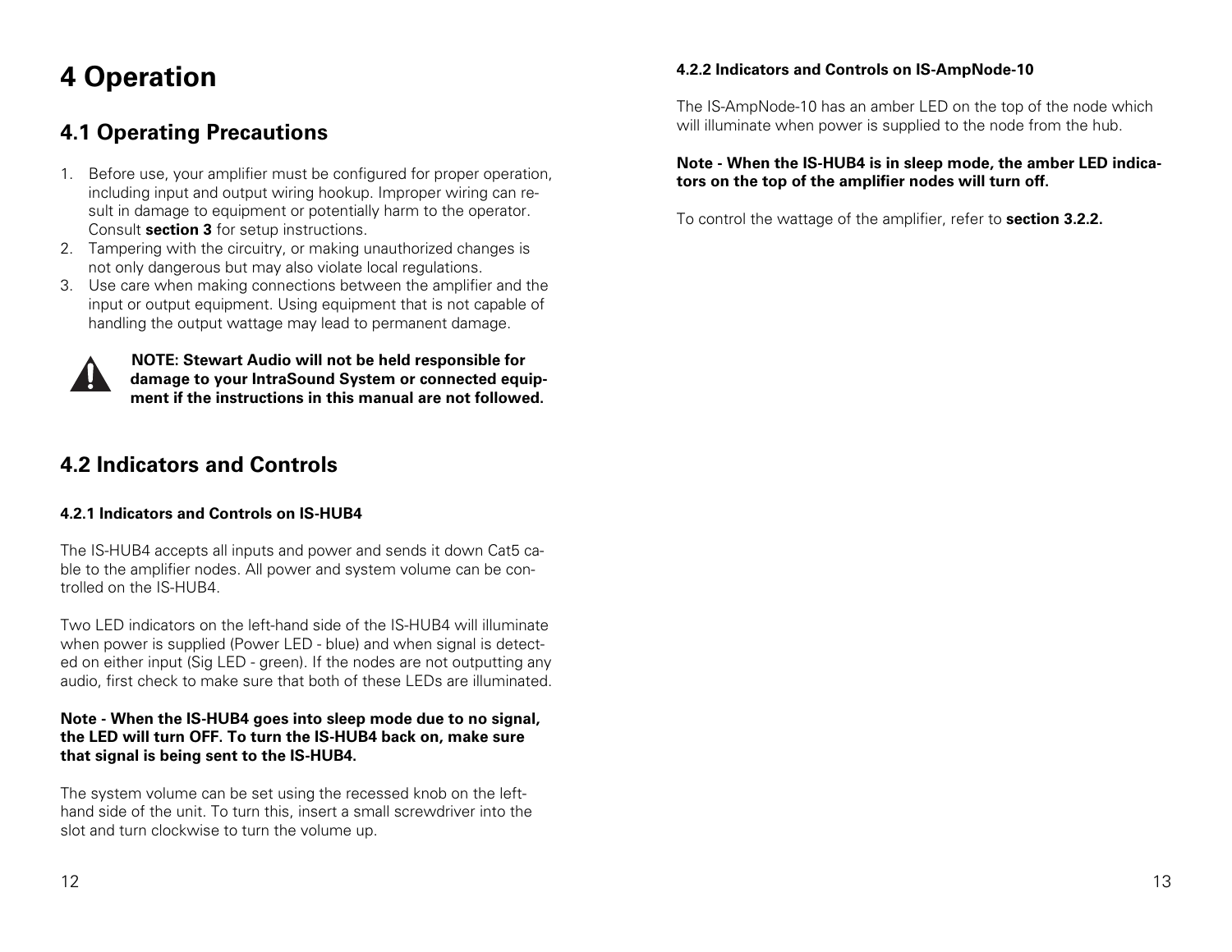## **4 Operation**

## **4.1 Operating Precautions**

- 1. Before use, your amplifier must be configured for proper operation, including input and output wiring hookup. Improper wiring can result in damage to equipment or potentially harm to the operator. Consult **section 3** for setup instructions.
- 2. Tampering with the circuitry, or making unauthorized changes is not only dangerous but may also violate local regulations.
- 3. Use care when making connections between the amplifier and the input or output equipment. Using equipment that is not capable of handling the output wattage may lead to permanent damage.



**NOTE: Stewart Audio will not be held responsible for damage to your IntraSound System or connected equipment if the instructions in this manual are not followed.**

## **4.2 Indicators and Controls**

#### **4.2.1 Indicators and Controls on IS-HUB4**

The IS-HUB4 accepts all inputs and power and sends it down Cat5 cable to the amplifier nodes. All power and system volume can be controlled on the IS-HUB4.

Two LED indicators on the left-hand side of the IS-HUB4 will illuminate when power is supplied (Power LED - blue) and when signal is detected on either input (Sig LED - green). If the nodes are not outputting any audio, first check to make sure that both of these LEDs are illuminated.

#### **Note - When the IS-HUB4 goes into sleep mode due to no signal, the LED will turn OFF. To turn the IS-HUB4 back on, make sure that signal is being sent to the IS-HUB4.**

The system volume can be set using the recessed knob on the lefthand side of the unit. To turn this, insert a small screwdriver into the slot and turn clockwise to turn the volume up.

#### **4.2.2 Indicators and Controls on IS-AmpNode-10**

The IS-AmpNode-10 has an amber LED on the top of the node which will illuminate when power is supplied to the node from the hub.

#### **Note - When the IS-HUB4 is in sleep mode, the amber LED indicators on the top of the amplifier nodes will turn off.**

To control the wattage of the amplifier, refer to **section 3.2.2.**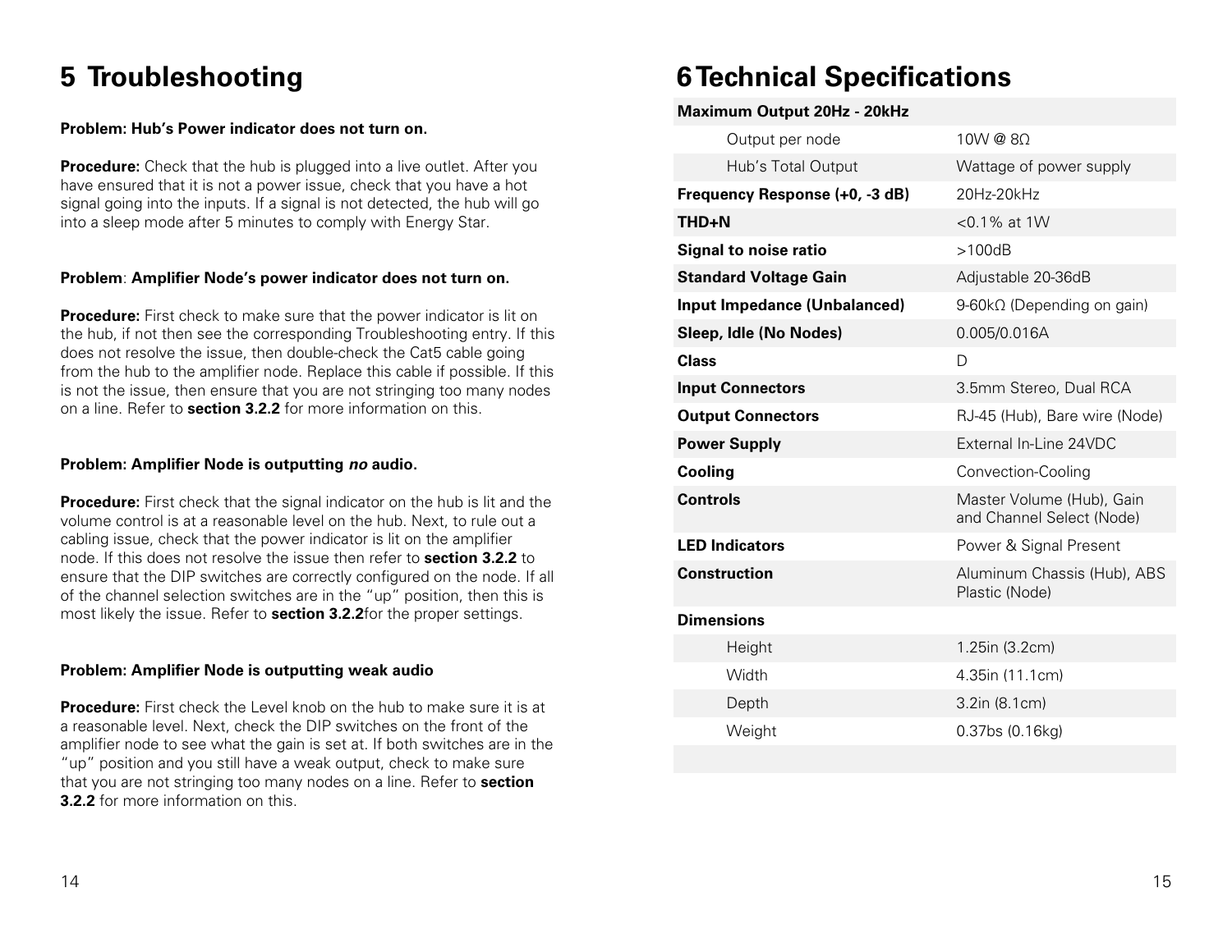## **5 Troubleshooting**

#### **Problem: Hub's Power indicator does not turn on.**

**Procedure:** Check that the hub is plugged into a live outlet. After you have ensured that it is not a power issue, check that you have a hot signal going into the inputs. If a signal is not detected, the hub will go into a sleep mode after 5 minutes to comply with Energy Star.

#### **Problem**: **Amplifier Node's power indicator does not turn on.**

**Procedure:** First check to make sure that the power indicator is lit on the hub, if not then see the corresponding Troubleshooting entry. If this does not resolve the issue, then double-check the Cat5 cable going from the hub to the amplifier node. Replace this cable if possible. If this is not the issue, then ensure that you are not stringing too many nodes on a line. Refer to **section 3.2.2** for more information on this.

#### **Problem: Amplifier Node is outputting no audio.**

**Procedure:** First check that the signal indicator on the hub is lit and the volume control is at a reasonable level on the hub. Next, to rule out a cabling issue, check that the power indicator is lit on the amplifier node. If this does not resolve the issue then refer to **section 3.2.2** to ensure that the DIP switches are correctly configured on the node. If all of the channel selection switches are in the "up" position, then this is most likely the issue. Refer to **section 3.2.2**for the proper settings.

#### **Problem: Amplifier Node is outputting weak audio**

**Procedure:** First check the Level knob on the hub to make sure it is at a reasonable level. Next, check the DIP switches on the front of the amplifier node to see what the gain is set at. If both switches are in the "up" position and you still have a weak output, check to make sure that you are not stringing too many nodes on a line. Refer to **section 3.2.2** for more information on this.

## **6 Technical Specifications**

| <b>Maximum Output 20Hz - 20kHz</b>  |                                                        |
|-------------------------------------|--------------------------------------------------------|
| Output per node                     | 10W@80                                                 |
| Hub's Total Output                  | Wattage of power supply                                |
| Frequency Response (+0, -3 dB)      | 20Hz-20kHz                                             |
| THD+N                               | $<$ 0.1% at 1W                                         |
| <b>Signal to noise ratio</b>        | >100dB                                                 |
| <b>Standard Voltage Gain</b>        | Adjustable 20-36dB                                     |
| <b>Input Impedance (Unbalanced)</b> | 9-60kΩ (Depending on gain)                             |
| Sleep, Idle (No Nodes)              | 0.005/0.016A                                           |
| <b>Class</b>                        | D                                                      |
| <b>Input Connectors</b>             | 3.5mm Stereo, Dual RCA                                 |
| <b>Output Connectors</b>            | RJ-45 (Hub), Bare wire (Node)                          |
| <b>Power Supply</b>                 | External In-Line 24VDC                                 |
| Cooling                             | Convection-Cooling                                     |
| <b>Controls</b>                     | Master Volume (Hub), Gain<br>and Channel Select (Node) |
| <b>LED Indicators</b>               | Power & Signal Present                                 |
| <b>Construction</b>                 | Aluminum Chassis (Hub), ABS<br>Plastic (Node)          |
| <b>Dimensions</b>                   |                                                        |
| Height                              | 1.25in (3.2cm)                                         |
| Width                               | 4.35in (11.1cm)                                        |
| Depth                               | 3.2in (8.1cm)                                          |
| Weight                              | 0.37bs (0.16kg)                                        |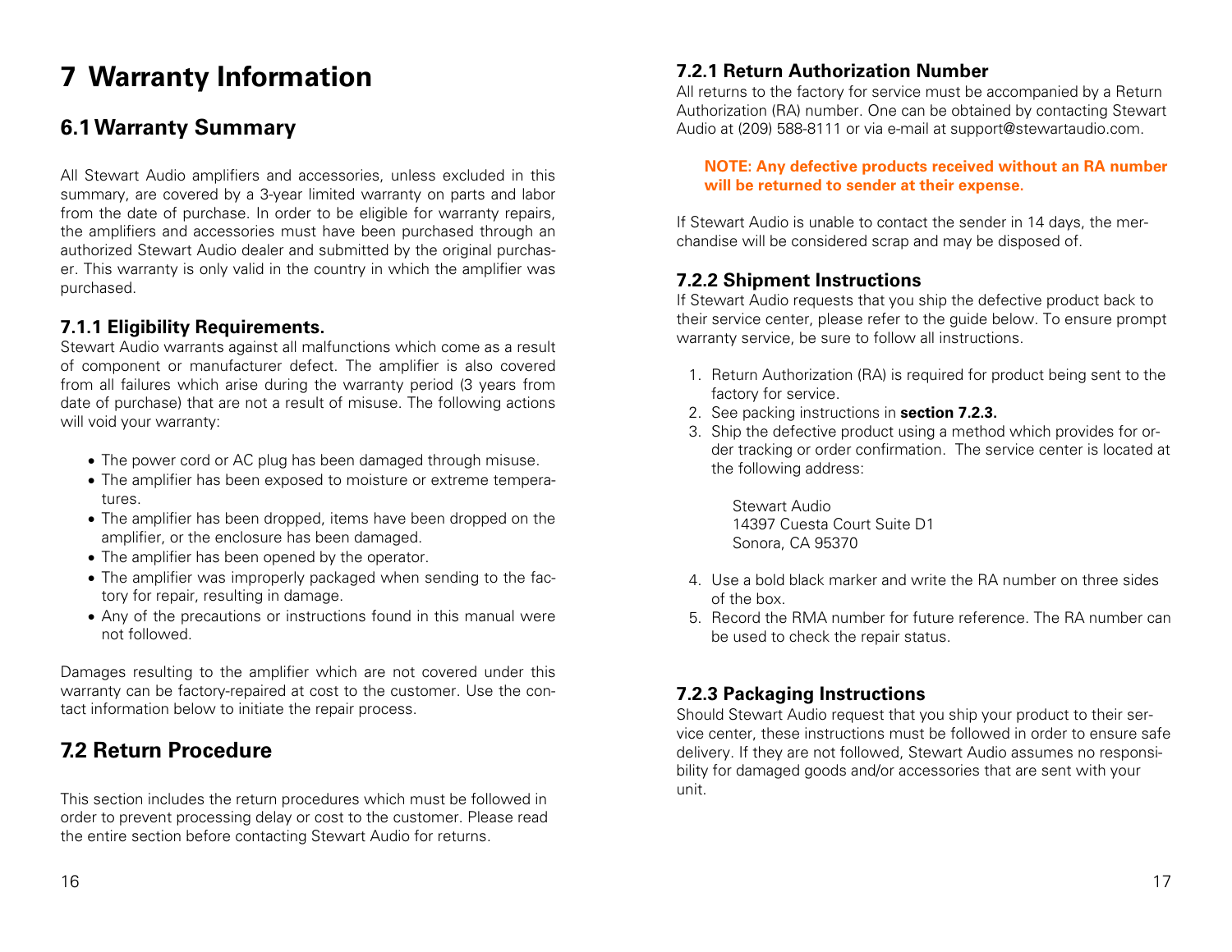## **7 Warranty Information**

## **6.1 Warranty Summary**

All Stewart Audio amplifiers and accessories, unless excluded in this summary, are covered by a 3-year limited warranty on parts and labor from the date of purchase. In order to be eligible for warranty repairs, the amplifiers and accessories must have been purchased through an authorized Stewart Audio dealer and submitted by the original purchaser. This warranty is only valid in the country in which the amplifier was purchased.

#### **7.1.1 Eligibility Requirements.**

Stewart Audio warrants against all malfunctions which come as a result of component or manufacturer defect. The amplifier is also covered from all failures which arise during the warranty period (3 years from date of purchase) that are not a result of misuse. The following actions will void your warranty:

- The power cord or AC plug has been damaged through misuse.
- The amplifier has been exposed to moisture or extreme temperatures.
- The amplifier has been dropped, items have been dropped on the amplifier, or the enclosure has been damaged.
- The amplifier has been opened by the operator.
- The amplifier was improperly packaged when sending to the factory for repair, resulting in damage.
- Any of the precautions or instructions found in this manual were not followed.

Damages resulting to the amplifier which are not covered under this warranty can be factory-repaired at cost to the customer. Use the contact information below to initiate the repair process.

## **7.2 Return Procedure**

This section includes the return procedures which must be followed in order to prevent processing delay or cost to the customer. Please read the entire section before contacting Stewart Audio for returns.

#### **7.2.1 Return Authorization Number**

All returns to the factory for service must be accompanied by a Return Authorization (RA) number. One can be obtained by contacting Stewart Audio at (209) 588-8111 or via e-mail at support@stewartaudio.com.

**NOTE: Any defective products received without an RA number will be returned to sender at their expense.** 

If Stewart Audio is unable to contact the sender in 14 days, the merchandise will be considered scrap and may be disposed of.

#### **7.2.2 Shipment Instructions**

If Stewart Audio requests that you ship the defective product back to their service center, please refer to the guide below. To ensure prompt warranty service, be sure to follow all instructions.

- 1. Return Authorization (RA) is required for product being sent to the factory for service.
- 2. See packing instructions in **section 7.2.3.**
- 3. Ship the defective product using a method which provides for order tracking or order confirmation. The service center is located at the following address:

Stewart Audio 14397 Cuesta Court Suite D1 Sonora, CA 95370

- 4. Use a bold black marker and write the RA number on three sides of the box.
- 5. Record the RMA number for future reference. The RA number can be used to check the repair status.

#### **7.2.3 Packaging Instructions**

Should Stewart Audio request that you ship your product to their service center, these instructions must be followed in order to ensure safe delivery. If they are not followed, Stewart Audio assumes no responsibility for damaged goods and/or accessories that are sent with your unit.